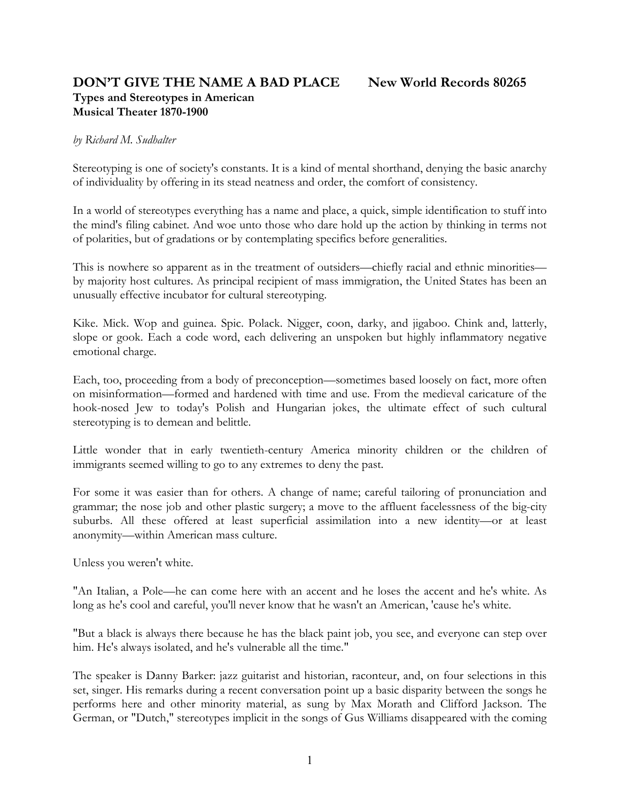# **DON'T GIVE THE NAME A BAD PLACE New World Records 80265 Types and Stereotypes in American Musical Theater 1870-1900**

### *by Richard M. Sudhalter*

Stereotyping is one of society's constants. It is a kind of mental shorthand, denying the basic anarchy of individuality by offering in its stead neatness and order, the comfort of consistency.

In a world of stereotypes everything has a name and place, a quick, simple identification to stuff into the mind's filing cabinet. And woe unto those who dare hold up the action by thinking in terms not of polarities, but of gradations or by contemplating specifics before generalities.

This is nowhere so apparent as in the treatment of outsiders—chiefly racial and ethnic minorities by majority host cultures. As principal recipient of mass immigration, the United States has been an unusually effective incubator for cultural stereotyping.

Kike. Mick. Wop and guinea. Spic. Polack. Nigger, coon, darky, and jigaboo. Chink and, latterly, slope or gook. Each a code word, each delivering an unspoken but highly inflammatory negative emotional charge.

Each, too, proceeding from a body of preconception—sometimes based loosely on fact, more often on misinformation—formed and hardened with time and use. From the medieval caricature of the hook-nosed Jew to today's Polish and Hungarian jokes, the ultimate effect of such cultural stereotyping is to demean and belittle.

Little wonder that in early twentieth-century America minority children or the children of immigrants seemed willing to go to any extremes to deny the past.

For some it was easier than for others. A change of name; careful tailoring of pronunciation and grammar; the nose job and other plastic surgery; a move to the affluent facelessness of the big-city suburbs. All these offered at least superficial assimilation into a new identity—or at least anonymity—within American mass culture.

Unless you weren't white.

"An Italian, a Pole—he can come here with an accent and he loses the accent and he's white. As long as he's cool and careful, you'll never know that he wasn't an American, 'cause he's white.

"But a black is always there because he has the black paint job, you see, and everyone can step over him. He's always isolated, and he's vulnerable all the time."

The speaker is Danny Barker: jazz guitarist and historian, raconteur, and, on four selections in this set, singer. His remarks during a recent conversation point up a basic disparity between the songs he performs here and other minority material, as sung by Max Morath and Clifford Jackson. The German, or "Dutch," stereotypes implicit in the songs of Gus Williams disappeared with the coming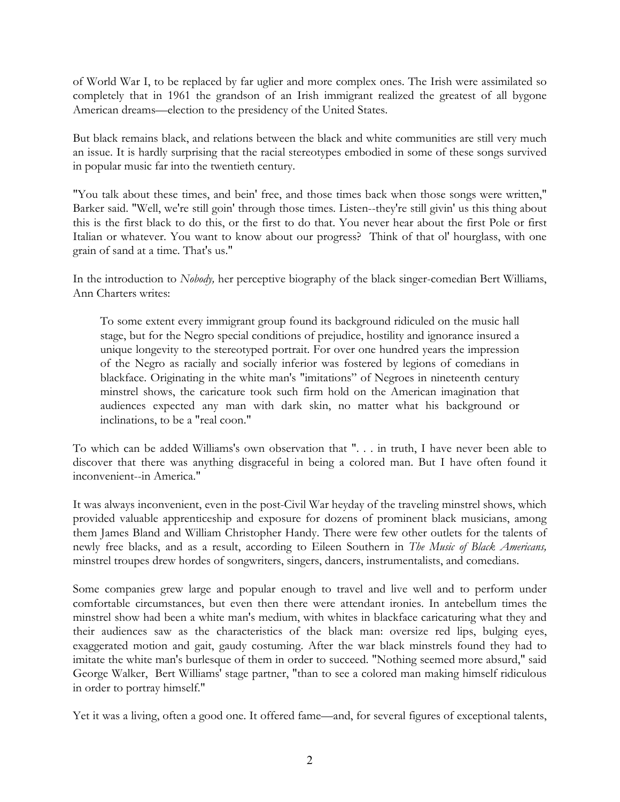of World War I, to be replaced by far uglier and more complex ones. The Irish were assimilated so completely that in 1961 the grandson of an Irish immigrant realized the greatest of all bygone American dreams—election to the presidency of the United States.

But black remains black, and relations between the black and white communities are still very much an issue. It is hardly surprising that the racial stereotypes embodied in some of these songs survived in popular music far into the twentieth century.

"You talk about these times, and bein' free, and those times back when those songs were written," Barker said. "Well, we're still goin' through those times. Listen--they're still givin' us this thing about this is the first black to do this, or the first to do that. You never hear about the first Pole or first Italian or whatever. You want to know about our progress? Think of that ol' hourglass, with one grain of sand at a time. That's us."

In the introduction to *Nobody,* her perceptive biography of the black singer-comedian Bert Williams, Ann Charters writes:

To some extent every immigrant group found its background ridiculed on the music hall stage, but for the Negro special conditions of prejudice, hostility and ignorance insured a unique longevity to the stereotyped portrait. For over one hundred years the impression of the Negro as racially and socially inferior was fostered by legions of comedians in blackface. Originating in the white man's "imitations" of Negroes in nineteenth century minstrel shows, the caricature took such firm hold on the American imagination that audiences expected any man with dark skin, no matter what his background or inclinations, to be a "real coon."

To which can be added Williams's own observation that ". . . in truth, I have never been able to discover that there was anything disgraceful in being a colored man. But I have often found it inconvenient--in America."

It was always inconvenient, even in the post-Civil War heyday of the traveling minstrel shows, which provided valuable apprenticeship and exposure for dozens of prominent black musicians, among them James Bland and William Christopher Handy. There were few other outlets for the talents of newly free blacks, and as a result, according to Eileen Southern in *The Music of Black Americans,* minstrel troupes drew hordes of songwriters, singers, dancers, instrumentalists, and comedians.

Some companies grew large and popular enough to travel and live well and to perform under comfortable circumstances, but even then there were attendant ironies. In antebellum times the minstrel show had been a white man's medium, with whites in blackface caricaturing what they and their audiences saw as the characteristics of the black man: oversize red lips, bulging eyes, exaggerated motion and gait, gaudy costuming. After the war black minstrels found they had to imitate the white man's burlesque of them in order to succeed. "Nothing seemed more absurd," said George Walker, Bert Williams' stage partner, "than to see a colored man making himself ridiculous in order to portray himself."

Yet it was a living, often a good one. It offered fame—and, for several figures of exceptional talents,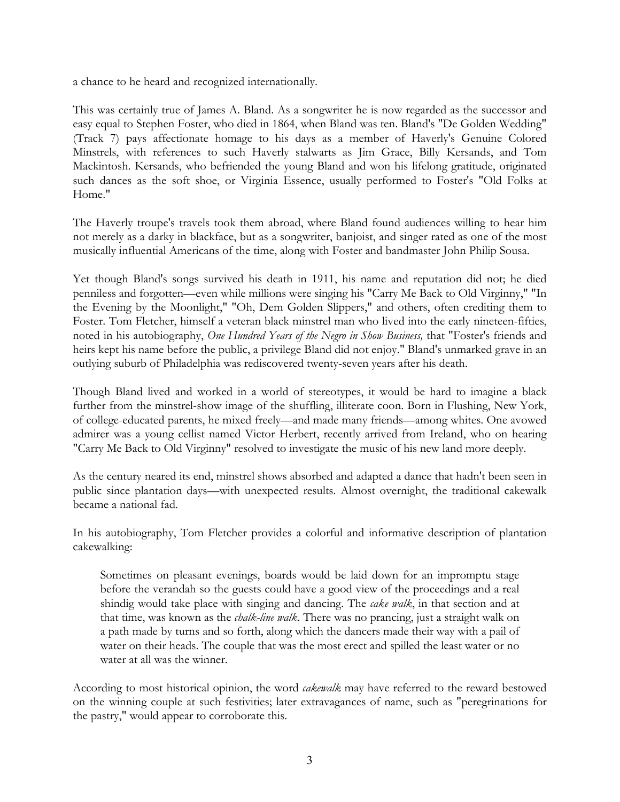a chance to he heard and recognized internationally.

This was certainly true of James A. Bland. As a songwriter he is now regarded as the successor and easy equal to Stephen Foster, who died in 1864, when Bland was ten. Bland's "De Golden Wedding" (Track 7) pays affectionate homage to his days as a member of Haverly's Genuine Colored Minstrels, with references to such Haverly stalwarts as Jim Grace, Billy Kersands, and Tom Mackintosh. Kersands, who befriended the young Bland and won his lifelong gratitude, originated such dances as the soft shoe, or Virginia Essence, usually performed to Foster's "Old Folks at Home."

The Haverly troupe's travels took them abroad, where Bland found audiences willing to hear him not merely as a darky in blackface, but as a songwriter, banjoist, and singer rated as one of the most musically influential Americans of the time, along with Foster and bandmaster John Philip Sousa.

Yet though Bland's songs survived his death in 1911, his name and reputation did not; he died penniless and forgotten—even while millions were singing his "Carry Me Back to Old Virginny," "In the Evening by the Moonlight," "Oh, Dem Golden Slippers," and others, often crediting them to Foster. Tom Fletcher, himself a veteran black minstrel man who lived into the early nineteen-fifties, noted in his autobiography, *One Hundred Years of the Negro in Show Business,* that "Foster's friends and heirs kept his name before the public, a privilege Bland did not enjoy." Bland's unmarked grave in an outlying suburb of Philadelphia was rediscovered twenty-seven years after his death.

Though Bland lived and worked in a world of stereotypes, it would be hard to imagine a black further from the minstrel-show image of the shuffling, illiterate coon. Born in Flushing, New York, of college-educated parents, he mixed freely—and made many friends—among whites. One avowed admirer was a young cellist named Victor Herbert, recently arrived from Ireland, who on hearing "Carry Me Back to Old Virginny" resolved to investigate the music of his new land more deeply.

As the century neared its end, minstrel shows absorbed and adapted a dance that hadn't been seen in public since plantation days—with unexpected results. Almost overnight, the traditional cakewalk became a national fad.

In his autobiography, Tom Fletcher provides a colorful and informative description of plantation cakewalking:

Sometimes on pleasant evenings, boards would be laid down for an impromptu stage before the verandah so the guests could have a good view of the proceedings and a real shindig would take place with singing and dancing. The *cake walk*, in that section and at that time, was known as the *chalk-line walk*. There was no prancing, just a straight walk on a path made by turns and so forth, along which the dancers made their way with a pail of water on their heads. The couple that was the most erect and spilled the least water or no water at all was the winner.

According to most historical opinion, the word *cakewalk* may have referred to the reward bestowed on the winning couple at such festivities; later extravagances of name, such as "peregrinations for the pastry," would appear to corroborate this.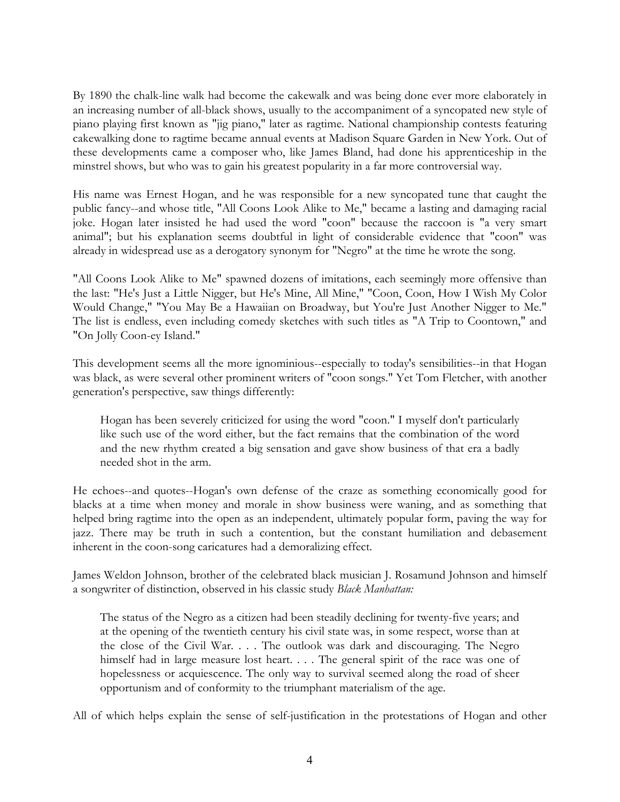By 1890 the chalk-line walk had become the cakewalk and was being done ever more elaborately in an increasing number of all-black shows, usually to the accompaniment of a syncopated new style of piano playing first known as "jig piano," later as ragtime. National championship contests featuring cakewalking done to ragtime became annual events at Madison Square Garden in New York. Out of these developments came a composer who, like James Bland, had done his apprenticeship in the minstrel shows, but who was to gain his greatest popularity in a far more controversial way.

His name was Ernest Hogan, and he was responsible for a new syncopated tune that caught the public fancy--and whose title, "All Coons Look Alike to Me," became a lasting and damaging racial joke. Hogan later insisted he had used the word "coon" because the raccoon is "a very smart animal"; but his explanation seems doubtful in light of considerable evidence that "coon" was already in widespread use as a derogatory synonym for "Negro" at the time he wrote the song.

"All Coons Look Alike to Me" spawned dozens of imitations, each seemingly more offensive than the last: "He's Just a Little Nigger, but He's Mine, All Mine," "Coon, Coon, How I Wish My Color Would Change," "You May Be a Hawaiian on Broadway, but You're Just Another Nigger to Me." The list is endless, even including comedy sketches with such titles as "A Trip to Coontown," and "On Jolly Coon-ey Island."

This development seems all the more ignominious--especially to today's sensibilities--in that Hogan was black, as were several other prominent writers of "coon songs." Yet Tom Fletcher, with another generation's perspective, saw things differently:

Hogan has been severely criticized for using the word "coon." I myself don't particularly like such use of the word either, but the fact remains that the combination of the word and the new rhythm created a big sensation and gave show business of that era a badly needed shot in the arm.

He echoes--and quotes--Hogan's own defense of the craze as something economically good for blacks at a time when money and morale in show business were waning, and as something that helped bring ragtime into the open as an independent, ultimately popular form, paving the way for jazz. There may be truth in such a contention, but the constant humiliation and debasement inherent in the coon-song caricatures had a demoralizing effect.

James Weldon Johnson, brother of the celebrated black musician J. Rosamund Johnson and himself a songwriter of distinction, observed in his classic study *Black Manhattan:*

The status of the Negro as a citizen had been steadily declining for twenty-five years; and at the opening of the twentieth century his civil state was, in some respect, worse than at the close of the Civil War. . . . The outlook was dark and discouraging. The Negro himself had in large measure lost heart. . . . The general spirit of the race was one of hopelessness or acquiescence. The only way to survival seemed along the road of sheer opportunism and of conformity to the triumphant materialism of the age.

All of which helps explain the sense of self-justification in the protestations of Hogan and other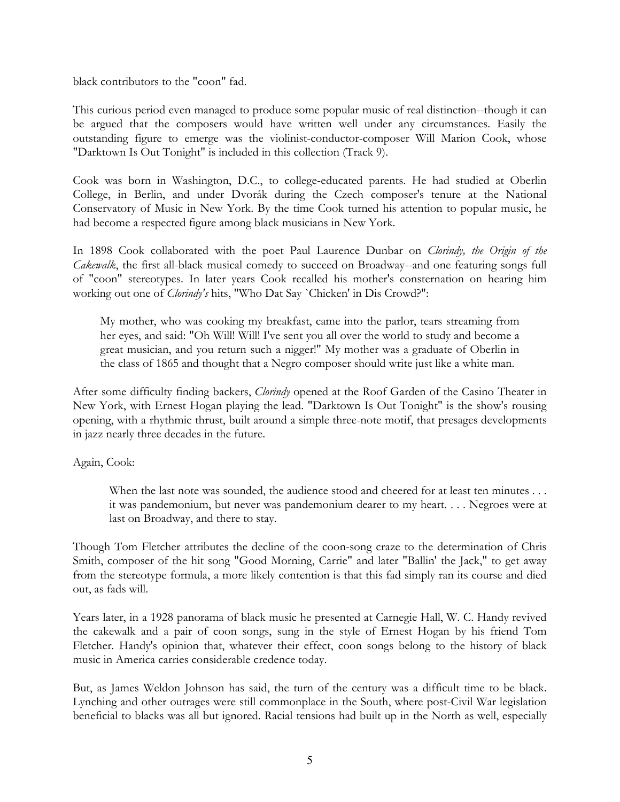black contributors to the "coon" fad.

This curious period even managed to produce some popular music of real distinction--though it can be argued that the composers would have written well under any circumstances. Easily the outstanding figure to emerge was the violinist-conductor-composer Will Marion Cook, whose "Darktown Is Out Tonight" is included in this collection (Track 9).

Cook was born in Washington, D.C., to college-educated parents. He had studied at Oberlin College, in Berlin, and under Dvorák during the Czech composer's tenure at the National Conservatory of Music in New York. By the time Cook turned his attention to popular music, he had become a respected figure among black musicians in New York.

In 1898 Cook collaborated with the poet Paul Laurence Dunbar on *Clorindy, the Origin of the Cakewalk*, the first all-black musical comedy to succeed on Broadway--and one featuring songs full of "coon" stereotypes. In later years Cook recalled his mother's consternation on hearing him working out one of *Clorindy's* hits, "Who Dat Say `Chicken' in Dis Crowd?":

My mother, who was cooking my breakfast, came into the parlor, tears streaming from her eyes, and said: "Oh Will! Will! I've sent you all over the world to study and become a great musician, and you return such a nigger!" My mother was a graduate of Oberlin in the class of 1865 and thought that a Negro composer should write just like a white man.

After some difficulty finding backers, *Clorindy* opened at the Roof Garden of the Casino Theater in New York, with Ernest Hogan playing the lead. "Darktown Is Out Tonight" is the show's rousing opening, with a rhythmic thrust, built around a simple three-note motif, that presages developments in jazz nearly three decades in the future.

## Again, Cook:

When the last note was sounded, the audience stood and cheered for at least ten minutes . . . it was pandemonium, but never was pandemonium dearer to my heart. . . . Negroes were at last on Broadway, and there to stay.

Though Tom Fletcher attributes the decline of the coon-song craze to the determination of Chris Smith, composer of the hit song "Good Morning, Carrie" and later "Ballin' the Jack," to get away from the stereotype formula, a more likely contention is that this fad simply ran its course and died out, as fads will.

Years later, in a 1928 panorama of black music he presented at Carnegie Hall, W. C. Handy revived the cakewalk and a pair of coon songs, sung in the style of Ernest Hogan by his friend Tom Fletcher. Handy's opinion that, whatever their effect, coon songs belong to the history of black music in America carries considerable credence today.

But, as James Weldon Johnson has said, the turn of the century was a difficult time to be black. Lynching and other outrages were still commonplace in the South, where post-Civil War legislation beneficial to blacks was all but ignored. Racial tensions had built up in the North as well, especially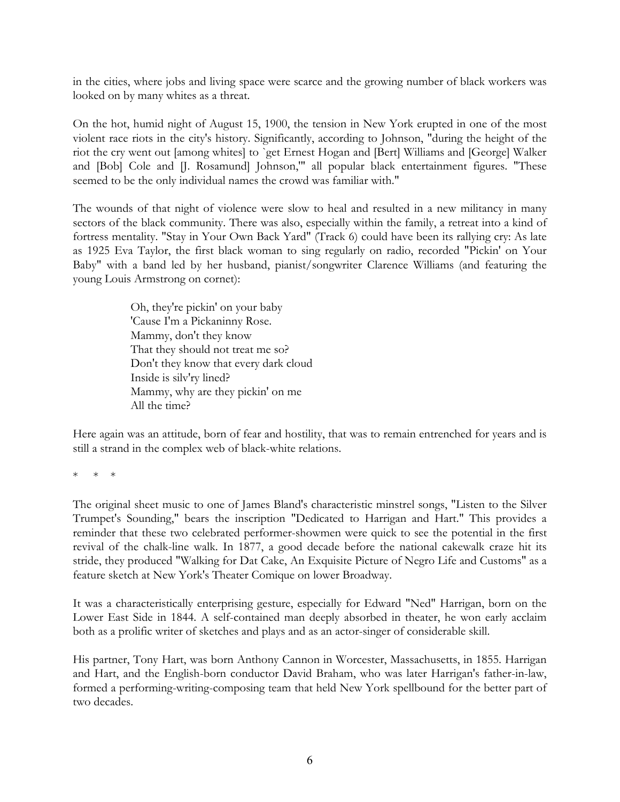in the cities, where jobs and living space were scarce and the growing number of black workers was looked on by many whites as a threat.

On the hot, humid night of August 15, 1900, the tension in New York erupted in one of the most violent race riots in the city's history. Significantly, according to Johnson, "during the height of the riot the cry went out [among whites] to `get Ernest Hogan and [Bert] Williams and [George] Walker and [Bob] Cole and [J. Rosamund] Johnson,'" all popular black entertainment figures. "These seemed to be the only individual names the crowd was familiar with."

The wounds of that night of violence were slow to heal and resulted in a new militancy in many sectors of the black community. There was also, especially within the family, a retreat into a kind of fortress mentality. "Stay in Your Own Back Yard" (Track 6) could have been its rallying cry: As late as 1925 Eva Taylor, the first black woman to sing regularly on radio, recorded "Pickin' on Your Baby" with a band led by her husband, pianist/songwriter Clarence Williams (and featuring the young Louis Armstrong on cornet):

> Oh, they're pickin' on your baby 'Cause I'm a Pickaninny Rose. Mammy, don't they know That they should not treat me so? Don't they know that every dark cloud Inside is silv'ry lined? Mammy, why are they pickin' on me All the time?

Here again was an attitude, born of fear and hostility, that was to remain entrenched for years and is still a strand in the complex web of black-white relations.

\* \* \*

The original sheet music to one of James Bland's characteristic minstrel songs, "Listen to the Silver Trumpet's Sounding," bears the inscription "Dedicated to Harrigan and Hart." This provides a reminder that these two celebrated performer-showmen were quick to see the potential in the first revival of the chalk-line walk. In 1877, a good decade before the national cakewalk craze hit its stride, they produced "Walking for Dat Cake, An Exquisite Picture of Negro Life and Customs" as a feature sketch at New York's Theater Comique on lower Broadway.

It was a characteristically enterprising gesture, especially for Edward "Ned" Harrigan, born on the Lower East Side in 1844. A self-contained man deeply absorbed in theater, he won early acclaim both as a prolific writer of sketches and plays and as an actor-singer of considerable skill.

His partner, Tony Hart, was born Anthony Cannon in Worcester, Massachusetts, in 1855. Harrigan and Hart, and the English-born conductor David Braham, who was later Harrigan's father-in-law, formed a performing-writing-composing team that held New York spellbound for the better part of two decades.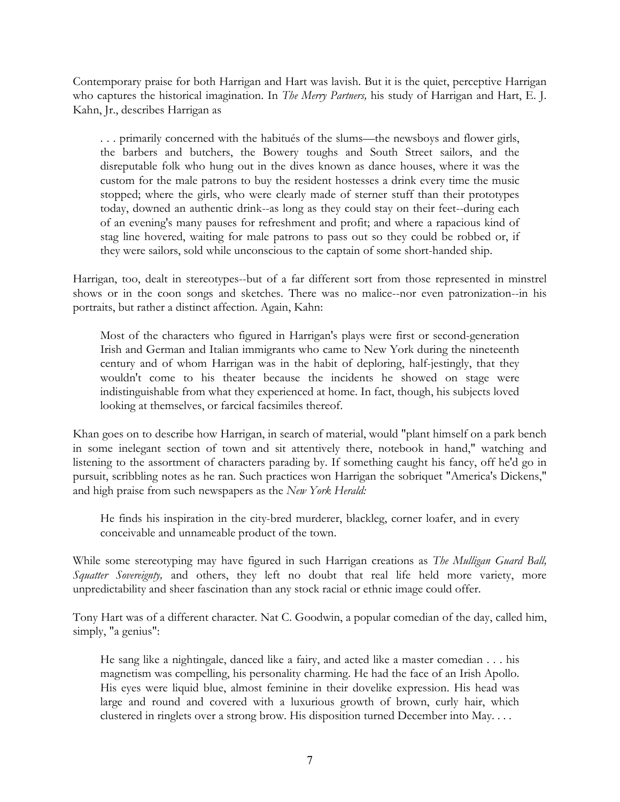Contemporary praise for both Harrigan and Hart was lavish. But it is the quiet, perceptive Harrigan who captures the historical imagination. In *The Merry Partners,* his study of Harrigan and Hart, E. J. Kahn, Jr., describes Harrigan as

. . . primarily concerned with the habitués of the slums—the newsboys and flower girls, the barbers and butchers, the Bowery toughs and South Street sailors, and the disreputable folk who hung out in the dives known as dance houses, where it was the custom for the male patrons to buy the resident hostesses a drink every time the music stopped; where the girls, who were clearly made of sterner stuff than their prototypes today, downed an authentic drink--as long as they could stay on their feet--during each of an evening's many pauses for refreshment and profit; and where a rapacious kind of stag line hovered, waiting for male patrons to pass out so they could be robbed or, if they were sailors, sold while unconscious to the captain of some short-handed ship.

Harrigan, too, dealt in stereotypes--but of a far different sort from those represented in minstrel shows or in the coon songs and sketches. There was no malice--nor even patronization--in his portraits, but rather a distinct affection. Again, Kahn:

Most of the characters who figured in Harrigan's plays were first or second-generation Irish and German and Italian immigrants who came to New York during the nineteenth century and of whom Harrigan was in the habit of deploring, half-jestingly, that they wouldn't come to his theater because the incidents he showed on stage were indistinguishable from what they experienced at home. In fact, though, his subjects loved looking at themselves, or farcical facsimiles thereof.

Khan goes on to describe how Harrigan, in search of material, would "plant himself on a park bench in some inelegant section of town and sit attentively there, notebook in hand," watching and listening to the assortment of characters parading by. If something caught his fancy, off he'd go in pursuit, scribbling notes as he ran. Such practices won Harrigan the sobriquet "America's Dickens," and high praise from such newspapers as the *New York Herald:*

He finds his inspiration in the city-bred murderer, blackleg, corner loafer, and in every conceivable and unnameable product of the town.

While some stereotyping may have figured in such Harrigan creations as *The Mulligan Guard Ball, Squatter Sovereignty,* and others, they left no doubt that real life held more variety, more unpredictability and sheer fascination than any stock racial or ethnic image could offer.

Tony Hart was of a different character. Nat C. Goodwin, a popular comedian of the day, called him, simply, "a genius":

He sang like a nightingale, danced like a fairy, and acted like a master comedian . . . his magnetism was compelling, his personality charming. He had the face of an Irish Apollo. His eyes were liquid blue, almost feminine in their dovelike expression. His head was large and round and covered with a luxurious growth of brown, curly hair, which clustered in ringlets over a strong brow. His disposition turned December into May. . . .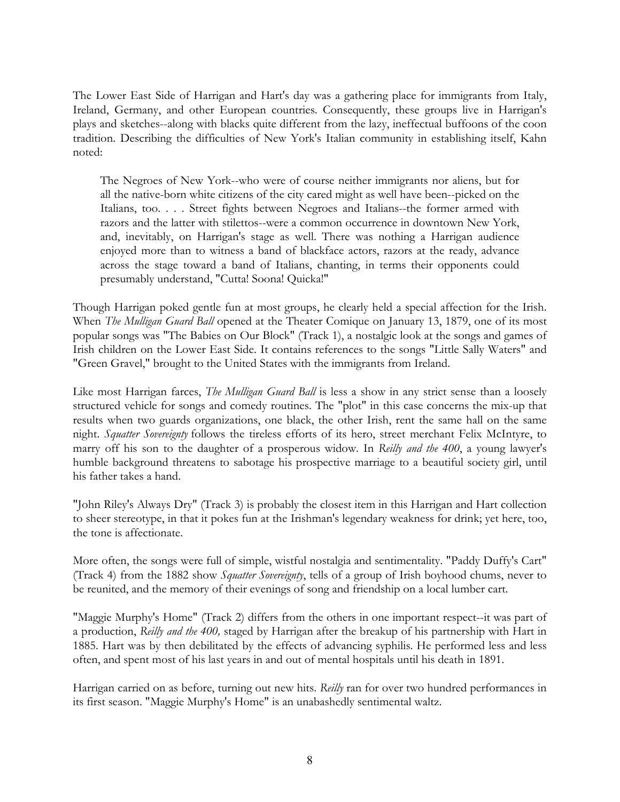The Lower East Side of Harrigan and Hart's day was a gathering place for immigrants from Italy, Ireland, Germany, and other European countries. Consequently, these groups live in Harrigan's plays and sketches--along with blacks quite different from the lazy, ineffectual buffoons of the coon tradition. Describing the difficulties of New York's Italian community in establishing itself, Kahn noted:

The Negroes of New York--who were of course neither immigrants nor aliens, but for all the native-born white citizens of the city cared might as well have been--picked on the Italians, too. . . . Street fights between Negroes and Italians--the former armed with razors and the latter with stilettos--were a common occurrence in downtown New York, and, inevitably, on Harrigan's stage as well. There was nothing a Harrigan audience enjoyed more than to witness a band of blackface actors, razors at the ready, advance across the stage toward a band of Italians, chanting, in terms their opponents could presumably understand, "Cutta! Soona! Quicka!"

Though Harrigan poked gentle fun at most groups, he clearly held a special affection for the Irish. When *The Mulligan Guard Ball* opened at the Theater Comique on January 13, 1879, one of its most popular songs was "The Babies on Our Block" (Track 1), a nostalgic look at the songs and games of Irish children on the Lower East Side. It contains references to the songs "Little Sally Waters" and "Green Gravel," brought to the United States with the immigrants from Ireland.

Like most Harrigan farces, *The Mulligan Guard Ball* is less a show in any strict sense than a loosely structured vehicle for songs and comedy routines. The "plot" in this case concerns the mix-up that results when two guards organizations, one black, the other Irish, rent the same hall on the same night. *Squatter Sovereignty* follows the tireless efforts of its hero, street merchant Felix McIntyre, to marry off his son to the daughter of a prosperous widow. In *Reilly and the 400*, a young lawyer's humble background threatens to sabotage his prospective marriage to a beautiful society girl, until his father takes a hand.

"John Riley's Always Dry" (Track 3) is probably the closest item in this Harrigan and Hart collection to sheer stereotype, in that it pokes fun at the Irishman's legendary weakness for drink; yet here, too, the tone is affectionate.

More often, the songs were full of simple, wistful nostalgia and sentimentality. "Paddy Duffy's Cart" (Track 4) from the 1882 show *Squatter Sovereignty*, tells of a group of Irish boyhood chums, never to be reunited, and the memory of their evenings of song and friendship on a local lumber cart.

"Maggie Murphy's Home" (Track 2) differs from the others in one important respect--it was part of a production, *Reilly and the 400,* staged by Harrigan after the breakup of his partnership with Hart in 1885. Hart was by then debilitated by the effects of advancing syphilis. He performed less and less often, and spent most of his last years in and out of mental hospitals until his death in 1891.

Harrigan carried on as before, turning out new hits. *Reilly* ran for over two hundred performances in its first season. "Maggie Murphy's Home" is an unabashedly sentimental waltz.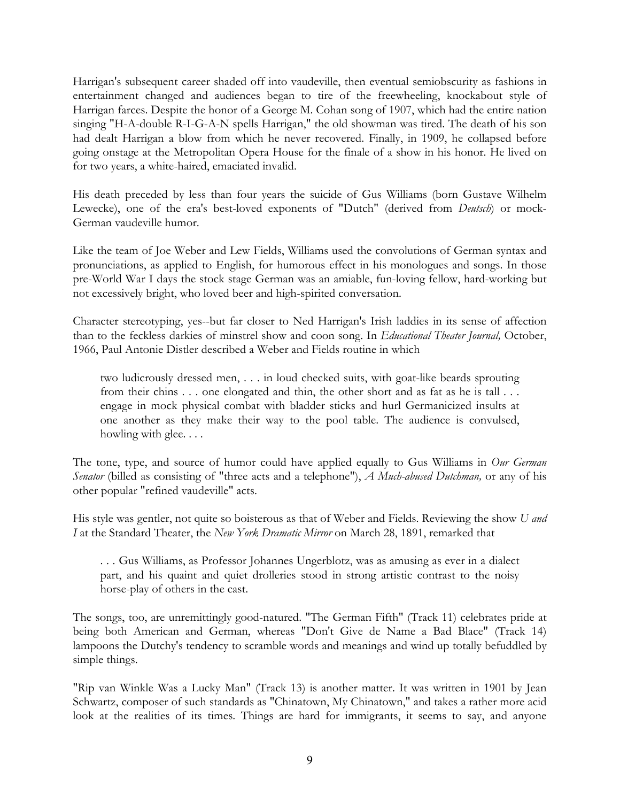Harrigan's subsequent career shaded off into vaudeville, then eventual semiobscurity as fashions in entertainment changed and audiences began to tire of the freewheeling, knockabout style of Harrigan farces. Despite the honor of a George M. Cohan song of 1907, which had the entire nation singing "H-A-double R-I-G-A-N spells Harrigan," the old showman was tired. The death of his son had dealt Harrigan a blow from which he never recovered. Finally, in 1909, he collapsed before going onstage at the Metropolitan Opera House for the finale of a show in his honor. He lived on for two years, a white-haired, emaciated invalid.

His death preceded by less than four years the suicide of Gus Williams (born Gustave Wilhelm Lewecke), one of the era's best-loved exponents of "Dutch" (derived from *Deutsch*) or mock-German vaudeville humor.

Like the team of Joe Weber and Lew Fields, Williams used the convolutions of German syntax and pronunciations, as applied to English, for humorous effect in his monologues and songs. In those pre-World War I days the stock stage German was an amiable, fun-loving fellow, hard-working but not excessively bright, who loved beer and high-spirited conversation.

Character stereotyping, yes--but far closer to Ned Harrigan's Irish laddies in its sense of affection than to the feckless darkies of minstrel show and coon song. In *Educational Theater Journal,* October, 1966, Paul Antonie Distler described a Weber and Fields routine in which

two ludicrously dressed men, . . . in loud checked suits, with goat-like beards sprouting from their chins . . . one elongated and thin, the other short and as fat as he is tall . . . engage in mock physical combat with bladder sticks and hurl Germanicized insults at one another as they make their way to the pool table. The audience is convulsed, howling with glee. . . .

The tone, type, and source of humor could have applied equally to Gus Williams in *Our German Senator* (billed as consisting of "three acts and a telephone"), *A Much-abused Dutchman,* or any of his other popular "refined vaudeville" acts.

His style was gentler, not quite so boisterous as that of Weber and Fields. Reviewing the show *U and I* at the Standard Theater, the *New York Dramatic Mirror* on March 28, 1891, remarked that

. . . Gus Williams, as Professor Johannes Ungerblotz, was as amusing as ever in a dialect part, and his quaint and quiet drolleries stood in strong artistic contrast to the noisy horse-play of others in the cast.

The songs, too, are unremittingly good-natured. "The German Fifth" (Track 11) celebrates pride at being both American and German, whereas "Don't Give de Name a Bad Blace" (Track 14) lampoons the Dutchy's tendency to scramble words and meanings and wind up totally befuddled by simple things.

"Rip van Winkle Was a Lucky Man" (Track 13) is another matter. It was written in 1901 by Jean Schwartz, composer of such standards as "Chinatown, My Chinatown," and takes a rather more acid look at the realities of its times. Things are hard for immigrants, it seems to say, and anyone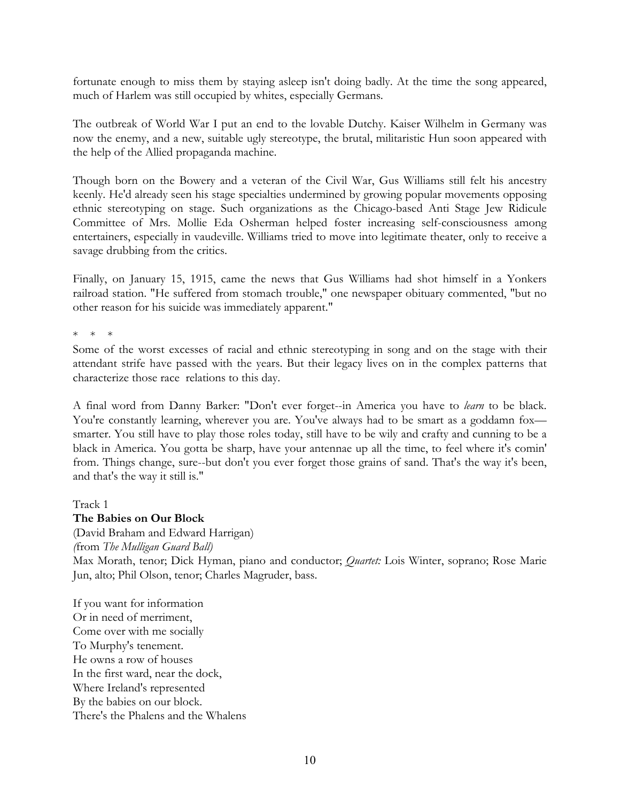fortunate enough to miss them by staying asleep isn't doing badly. At the time the song appeared, much of Harlem was still occupied by whites, especially Germans.

The outbreak of World War I put an end to the lovable Dutchy. Kaiser Wilhelm in Germany was now the enemy, and a new, suitable ugly stereotype, the brutal, militaristic Hun soon appeared with the help of the Allied propaganda machine.

Though born on the Bowery and a veteran of the Civil War, Gus Williams still felt his ancestry keenly. He'd already seen his stage specialties undermined by growing popular movements opposing ethnic stereotyping on stage. Such organizations as the Chicago-based Anti Stage Jew Ridicule Committee of Mrs. Mollie Eda Osherman helped foster increasing self-consciousness among entertainers, especially in vaudeville. Williams tried to move into legitimate theater, only to receive a savage drubbing from the critics.

Finally, on January 15, 1915, came the news that Gus Williams had shot himself in a Yonkers railroad station. "He suffered from stomach trouble," one newspaper obituary commented, "but no other reason for his suicide was immediately apparent."

 $\downarrow$   $\downarrow$   $\downarrow$ 

Some of the worst excesses of racial and ethnic stereotyping in song and on the stage with their attendant strife have passed with the years. But their legacy lives on in the complex patterns that characterize those race relations to this day.

A final word from Danny Barker: "Don't ever forget--in America you have to *learn* to be black. You're constantly learning, wherever you are. You've always had to be smart as a goddamn foxsmarter. You still have to play those roles today, still have to be wily and crafty and cunning to be a black in America. You gotta be sharp, have your antennae up all the time, to feel where it's comin' from. Things change, sure--but don't you ever forget those grains of sand. That's the way it's been, and that's the way it still is."

Track 1

### **The Babies on Our Block**

(David Braham and Edward Harrigan) *(*from *The Mulligan Guard Ball)* Max Morath, tenor; Dick Hyman, piano and conductor; *Quartet:* Lois Winter, soprano; Rose Marie Jun, alto; Phil Olson, tenor; Charles Magruder, bass.

If you want for information Or in need of merriment, Come over with me socially To Murphy's tenement. He owns a row of houses In the first ward, near the dock, Where Ireland's represented By the babies on our block. There's the Phalens and the Whalens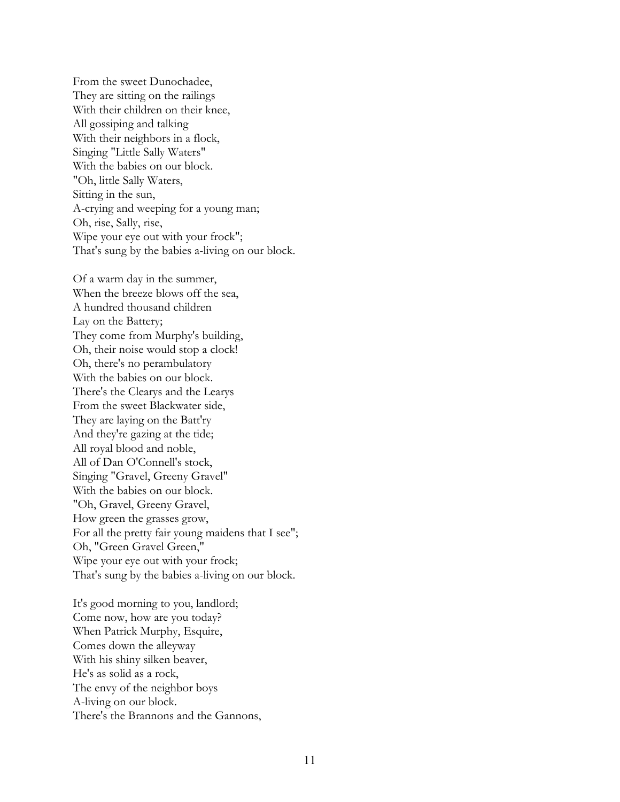From the sweet Dunochadee, They are sitting on the railings With their children on their knee, All gossiping and talking With their neighbors in a flock, Singing "Little Sally Waters" With the babies on our block. "Oh, little Sally Waters, Sitting in the sun, A-crying and weeping for a young man; Oh, rise, Sally, rise, Wipe your eye out with your frock"; That's sung by the babies a-living on our block.

Of a warm day in the summer, When the breeze blows off the sea, A hundred thousand children Lay on the Battery; They come from Murphy's building, Oh, their noise would stop a clock! Oh, there's no perambulatory With the babies on our block. There's the Clearys and the Learys From the sweet Blackwater side, They are laying on the Batt'ry And they're gazing at the tide; All royal blood and noble, All of Dan O'Connell's stock, Singing "Gravel, Greeny Gravel" With the babies on our block. "Oh, Gravel, Greeny Gravel, How green the grasses grow, For all the pretty fair young maidens that I see"; Oh, "Green Gravel Green," Wipe your eye out with your frock; That's sung by the babies a-living on our block.

It's good morning to you, landlord; Come now, how are you today? When Patrick Murphy, Esquire, Comes down the alleyway With his shiny silken beaver, He's as solid as a rock, The envy of the neighbor boys A-living on our block. There's the Brannons and the Gannons,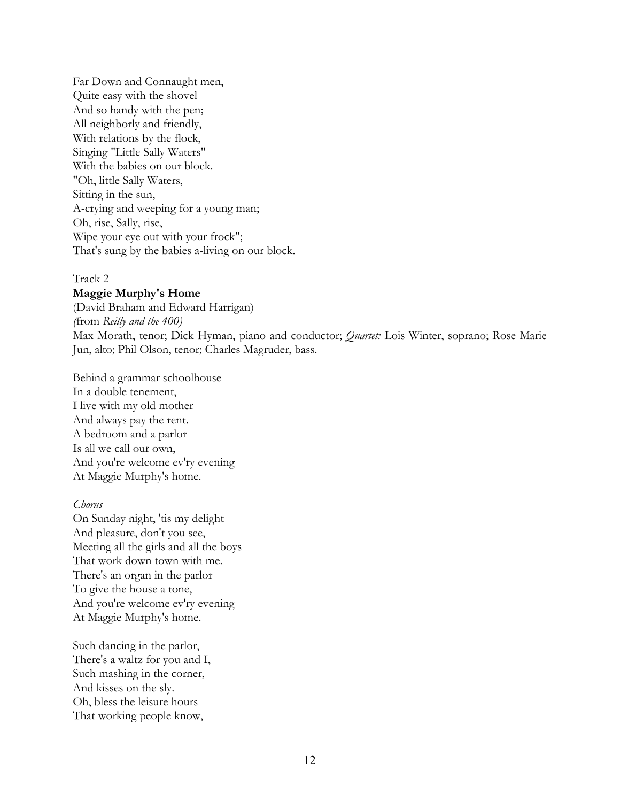Far Down and Connaught men, Quite easy with the shovel And so handy with the pen; All neighborly and friendly, With relations by the flock, Singing "Little Sally Waters" With the babies on our block. "Oh, little Sally Waters, Sitting in the sun, A-crying and weeping for a young man; Oh, rise, Sally, rise, Wipe your eye out with your frock"; That's sung by the babies a-living on our block.

### Track 2

#### **Maggie Murphy's Home**

(David Braham and Edward Harrigan) *(*from *Reilly and the 400)* Max Morath, tenor; Dick Hyman, piano and conductor; *Quartet:* Lois Winter, soprano; Rose Marie Jun, alto; Phil Olson, tenor; Charles Magruder, bass.

Behind a grammar schoolhouse In a double tenement, I live with my old mother And always pay the rent. A bedroom and a parlor Is all we call our own, And you're welcome ev'ry evening At Maggie Murphy's home.

#### *Chorus*

On Sunday night, 'tis my delight And pleasure, don't you see, Meeting all the girls and all the boys That work down town with me. There's an organ in the parlor To give the house a tone, And you're welcome ev'ry evening At Maggie Murphy's home.

Such dancing in the parlor, There's a waltz for you and I, Such mashing in the corner, And kisses on the sly. Oh, bless the leisure hours That working people know,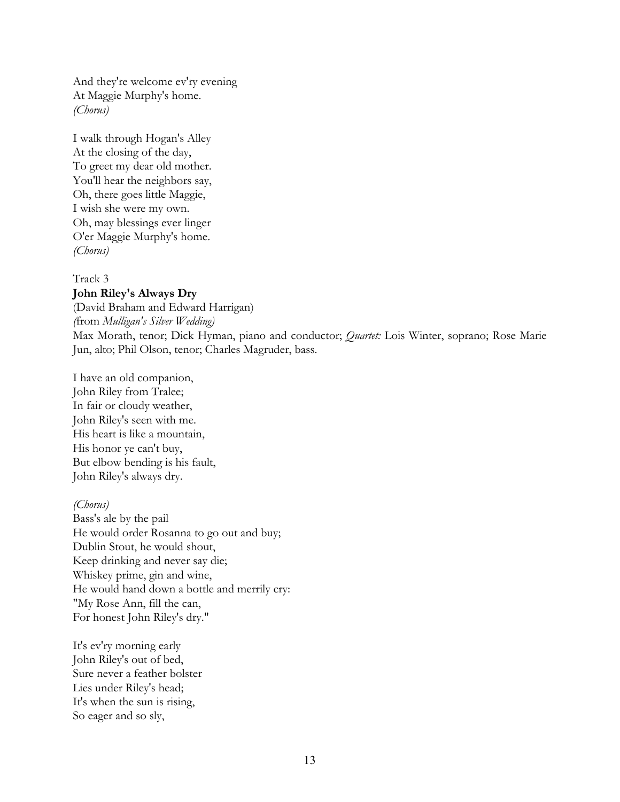And they're welcome ev'ry evening At Maggie Murphy's home. *(Chorus)*

I walk through Hogan's Alley At the closing of the day, To greet my dear old mother. You'll hear the neighbors say, Oh, there goes little Maggie, I wish she were my own. Oh, may blessings ever linger O'er Maggie Murphy's home. *(Chorus)*

Track 3 **John Riley's Always Dry** (David Braham and Edward Harrigan) *(*from *Mulligan's Silver Wedding)* Max Morath, tenor; Dick Hyman, piano and conductor; *Quartet:* Lois Winter, soprano; Rose Marie Jun, alto; Phil Olson, tenor; Charles Magruder, bass.

I have an old companion, John Riley from Tralee; In fair or cloudy weather, John Riley's seen with me. His heart is like a mountain, His honor ye can't buy, But elbow bending is his fault, John Riley's always dry.

#### *(Chorus)*

Bass's ale by the pail He would order Rosanna to go out and buy; Dublin Stout, he would shout, Keep drinking and never say die; Whiskey prime, gin and wine, He would hand down a bottle and merrily cry: "My Rose Ann, fill the can, For honest John Riley's dry."

It's ev'ry morning early John Riley's out of bed, Sure never a feather bolster Lies under Riley's head; It's when the sun is rising, So eager and so sly,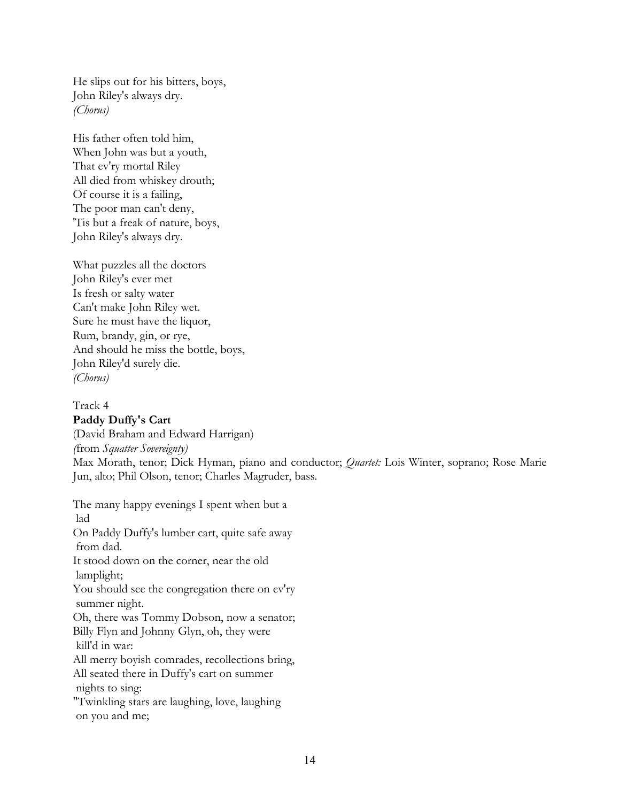He slips out for his bitters, boys, John Riley's always dry. *(Chorus)*

His father often told him, When John was but a youth, That ev'ry mortal Riley All died from whiskey drouth; Of course it is a failing, The poor man can't deny, 'Tis but a freak of nature, boys, John Riley's always dry.

What puzzles all the doctors John Riley's ever met Is fresh or salty water Can't make John Riley wet. Sure he must have the liquor, Rum, brandy, gin, or rye, And should he miss the bottle, boys, John Riley'd surely die. *(Chorus)*

Track 4

**Paddy Duffy's Cart** (David Braham and Edward Harrigan) *(*from *Squatter Sovereignty)* Max Morath, tenor; Dick Hyman, piano and conductor; *Quartet:* Lois Winter, soprano; Rose Marie Jun, alto; Phil Olson, tenor; Charles Magruder, bass.

The many happy evenings I spent when but a lad On Paddy Duffy's lumber cart, quite safe away from dad. It stood down on the corner, near the old lamplight; You should see the congregation there on ev'ry summer night. Oh, there was Tommy Dobson, now a senator; Billy Flyn and Johnny Glyn, oh, they were kill'd in war: All merry boyish comrades, recollections bring, All seated there in Duffy's cart on summer nights to sing: "Twinkling stars are laughing, love, laughing on you and me;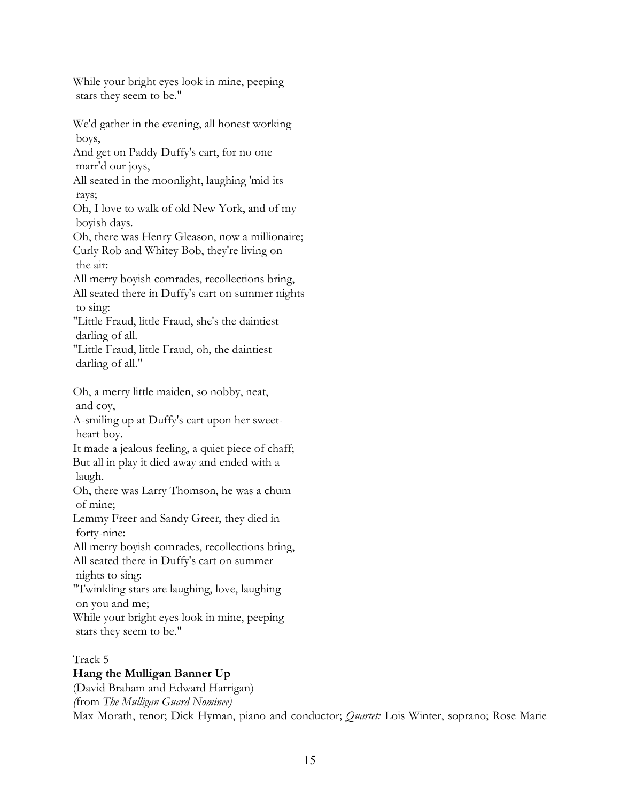While your bright eyes look in mine, peeping stars they seem to be."

We'd gather in the evening, all honest working boys,

And get on Paddy Duffy's cart, for no one marr'd our joys,

All seated in the moonlight, laughing 'mid its rays;

Oh, I love to walk of old New York, and of my boyish days.

Oh, there was Henry Gleason, now a millionaire; Curly Rob and Whitey Bob, they're living on the air:

All merry boyish comrades, recollections bring,

All seated there in Duffy's cart on summer nights to sing:

"Little Fraud, little Fraud, she's the daintiest darling of all.

"Little Fraud, little Fraud, oh, the daintiest darling of all."

Oh, a merry little maiden, so nobby, neat, and coy,

A-smiling up at Duffy's cart upon her sweet heart boy.

It made a jealous feeling, a quiet piece of chaff; But all in play it died away and ended with a laugh.

Oh, there was Larry Thomson, he was a chum of mine;

Lemmy Freer and Sandy Greer, they died in forty-nine:

All merry boyish comrades, recollections bring, All seated there in Duffy's cart on summer

nights to sing:

"Twinkling stars are laughing, love, laughing

on you and me;

While your bright eyes look in mine, peeping stars they seem to be."

Track 5

# **Hang the Mulligan Banner Up**

(David Braham and Edward Harrigan) *(*from *The Mulligan Guard Nominee)* Max Morath, tenor; Dick Hyman, piano and conductor; *Quartet:* Lois Winter, soprano; Rose Marie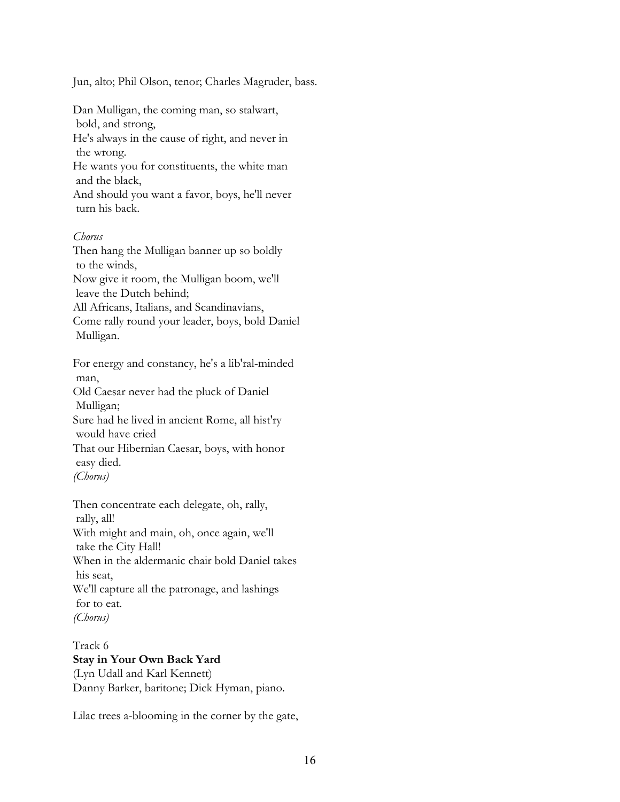Jun, alto; Phil Olson, tenor; Charles Magruder, bass.

Dan Mulligan, the coming man, so stalwart, bold, and strong,

He's always in the cause of right, and never in the wrong.

He wants you for constituents, the white man and the black,

And should you want a favor, boys, he'll never turn his back.

## *Chorus*

Then hang the Mulligan banner up so boldly to the winds,

Now give it room, the Mulligan boom, we'll leave the Dutch behind;

All Africans, Italians, and Scandinavians,

Come rally round your leader, boys, bold Daniel Mulligan.

For energy and constancy, he's a lib'ral-minded man,

Old Caesar never had the pluck of Daniel Mulligan;

Sure had he lived in ancient Rome, all hist'ry would have cried

That our Hibernian Caesar, boys, with honor easy died.

```
(Chorus)
```
Then concentrate each delegate, oh, rally, rally, all! With might and main, oh, once again, we'll take the City Hall! When in the aldermanic chair bold Daniel takes his seat, We'll capture all the patronage, and lashings for to eat. *(Chorus)*

Track 6 **Stay in Your Own Back Yard** (Lyn Udall and Karl Kennett) Danny Barker, baritone; Dick Hyman, piano.

Lilac trees a-blooming in the corner by the gate,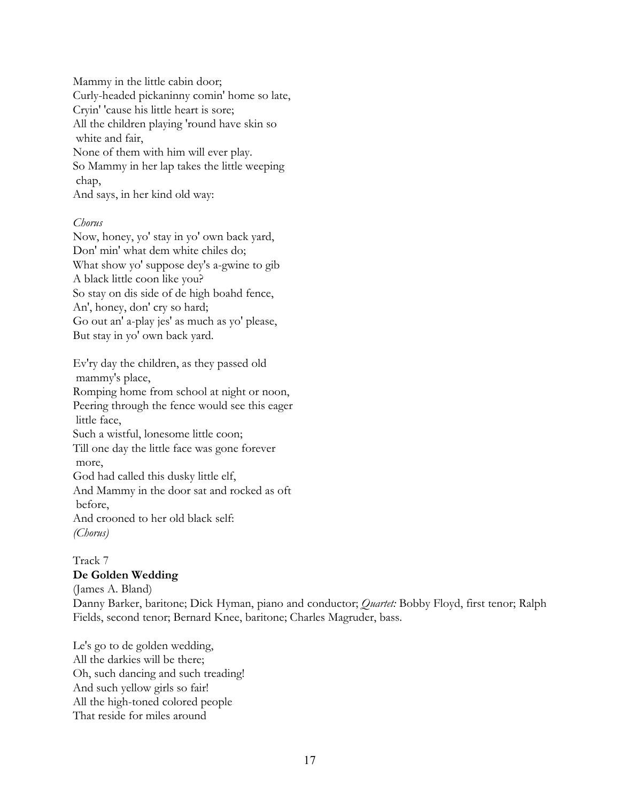Mammy in the little cabin door; Curly-headed pickaninny comin' home so late, Cryin' 'cause his little heart is sore; All the children playing 'round have skin so white and fair, None of them with him will ever play. So Mammy in her lap takes the little weeping chap,

And says, in her kind old way:

## *Chorus*

Now, honey, yo' stay in yo' own back yard, Don' min' what dem white chiles do; What show yo' suppose dey's a-gwine to gib A black little coon like you? So stay on dis side of de high boahd fence, An', honey, don' cry so hard; Go out an' a-play jes' as much as yo' please, But stay in yo' own back yard.

Ev'ry day the children, as they passed old mammy's place,

Romping home from school at night or noon, Peering through the fence would see this eager little face,

Such a wistful, lonesome little coon;

Till one day the little face was gone forever more,

God had called this dusky little elf,

And Mammy in the door sat and rocked as oft before,

And crooned to her old black self: *(Chorus)*

## Track 7 **De Golden Wedding**

(James A. Bland) Danny Barker, baritone; Dick Hyman, piano and conductor; *Quartet:* Bobby Floyd, first tenor; Ralph Fields, second tenor; Bernard Knee, baritone; Charles Magruder, bass.

Le's go to de golden wedding, All the darkies will be there; Oh, such dancing and such treading! And such yellow girls so fair! All the high-toned colored people That reside for miles around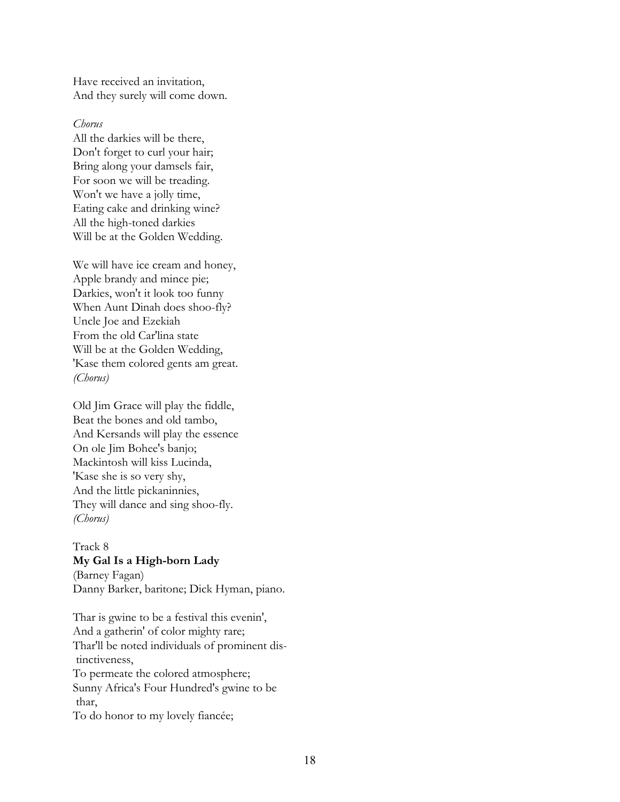Have received an invitation, And they surely will come down.

#### *Chorus*

All the darkies will be there, Don't forget to curl your hair; Bring along your damsels fair, For soon we will be treading. Won't we have a jolly time, Eating cake and drinking wine? All the high-toned darkies Will be at the Golden Wedding.

We will have ice cream and honey, Apple brandy and mince pie; Darkies, won't it look too funny When Aunt Dinah does shoo-fly? Uncle Joe and Ezekiah From the old Car'lina state Will be at the Golden Wedding, 'Kase them colored gents am great. *(Chorus)*

Old Jim Grace will play the fiddle, Beat the bones and old tambo, And Kersands will play the essence On ole Jim Bohee's banjo; Mackintosh will kiss Lucinda, 'Kase she is so very shy, And the little pickaninnies, They will dance and sing shoo-fly. *(Chorus)*

## Track 8 **My Gal Is a High-born Lady**

(Barney Fagan) Danny Barker, baritone; Dick Hyman, piano.

Thar is gwine to be a festival this evenin', And a gatherin' of color mighty rare; Thar'll be noted individuals of prominent dis tinctiveness, To permeate the colored atmosphere; Sunny Africa's Four Hundred's gwine to be thar, To do honor to my lovely fiancée;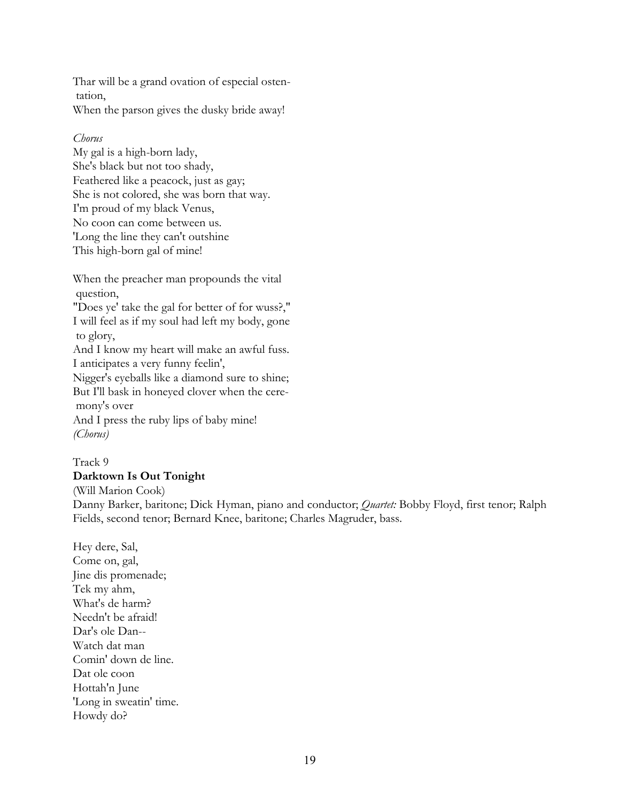Thar will be a grand ovation of especial osten tation, When the parson gives the dusky bride away!

#### *Chorus*

My gal is a high-born lady, She's black but not too shady, Feathered like a peacock, just as gay; She is not colored, she was born that way. I'm proud of my black Venus, No coon can come between us. 'Long the line they can't outshine This high-born gal of mine!

When the preacher man propounds the vital question,

"Does ye' take the gal for better of for wuss?," I will feel as if my soul had left my body, gone to glory,

And I know my heart will make an awful fuss. I anticipates a very funny feelin',

Nigger's eyeballs like a diamond sure to shine; But I'll bask in honeyed clover when the cere mony's over

And I press the ruby lips of baby mine! *(Chorus)*

Track 9 **Darktown Is Out Tonight**

(Will Marion Cook)

Danny Barker, baritone; Dick Hyman, piano and conductor; *Quartet:* Bobby Floyd, first tenor; Ralph Fields, second tenor; Bernard Knee, baritone; Charles Magruder, bass.

Hey dere, Sal, Come on, gal, Jine dis promenade; Tek my ahm, What's de harm? Needn't be afraid! Dar's ole Dan-- Watch dat man Comin' down de line. Dat ole coon Hottah'n June 'Long in sweatin' time. Howdy do?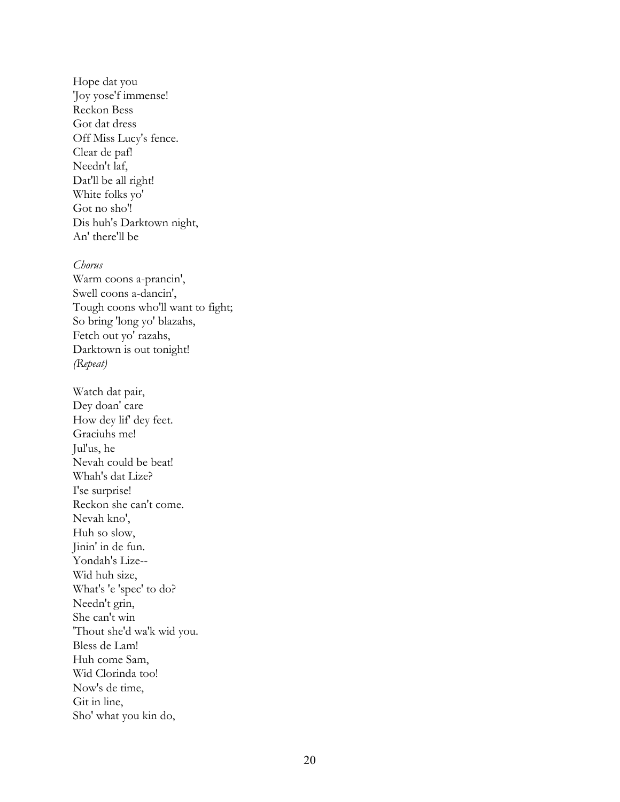Hope dat you 'Joy yose'f immense! Reckon Bess Got dat dress Off Miss Lucy's fence. Clear de paf! Needn't laf, Dat'll be all right! White folks yo' Got no sho'! Dis huh's Darktown night, An' there'll be

#### *Chorus*

Warm coons a-prancin', Swell coons a-dancin', Tough coons who'll want to fight; So bring 'long yo' blazahs, Fetch out yo' razahs, Darktown is out tonight! *(Repeat)*

Watch dat pair, Dey doan' care How dey lif' dey feet. Graciuhs me! Jul'us, he Nevah could be beat! Whah's dat Lize? I'se surprise! Reckon she can't come. Nevah kno', Huh so slow, Jinin' in de fun. Yondah's Lize-- Wid huh size, What's 'e 'spec' to do? Needn't grin, She can't win 'Thout she'd wa'k wid you. Bless de Lam! Huh come Sam, Wid Clorinda too! Now's de time, Git in line, Sho' what you kin do,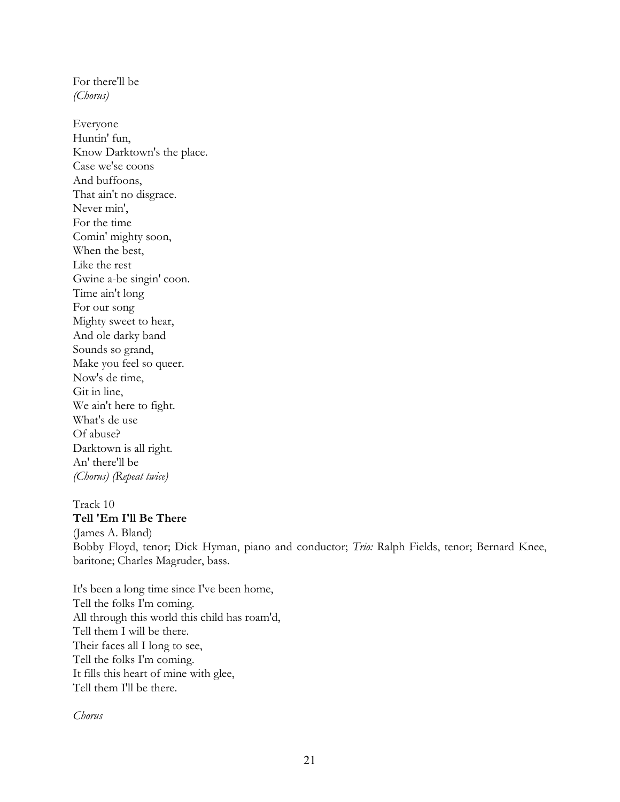*(Chorus)* Everyone Huntin' fun, Know Darktown's the place. Case we'se coons And buffoons, That ain't no disgrace. Never min', For the time Comin' mighty soon, When the best, Like the rest Gwine a-be singin' coon. Time ain't long For our song Mighty sweet to hear, And ole darky band Sounds so grand, Make you feel so queer. Now's de time, Git in line, We ain't here to fight. What's de use Of abuse? Darktown is all right. An' there'll be *(Chorus) (Repeat twice)*

For there'll be

### Track 10 **Tell 'Em I'll Be There**

(James A. Bland) Bobby Floyd, tenor; Dick Hyman, piano and conductor; *Trio:* Ralph Fields, tenor; Bernard Knee, baritone; Charles Magruder, bass.

It's been a long time since I've been home, Tell the folks I'm coming. All through this world this child has roam'd, Tell them I will be there. Their faces all I long to see, Tell the folks I'm coming. It fills this heart of mine with glee, Tell them I'll be there.

*Chorus*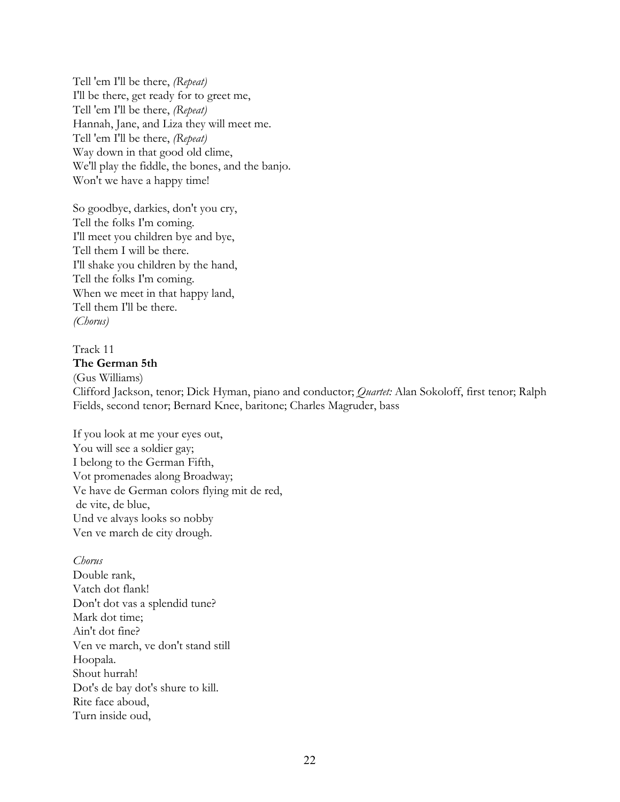Tell 'em I'll be there, *(Repeat)* I'll be there, get ready for to greet me, Tell 'em I'll be there, *(Repeat)* Hannah, Jane, and Liza they will meet me. Tell 'em I'll be there, *(Repeat)* Way down in that good old clime, We'll play the fiddle, the bones, and the banjo. Won't we have a happy time!

So goodbye, darkies, don't you cry, Tell the folks I'm coming. I'll meet you children bye and bye, Tell them I will be there. I'll shake you children by the hand, Tell the folks I'm coming. When we meet in that happy land, Tell them I'll be there. *(Chorus)*

#### Track 11 **The German 5th**

(Gus Williams)

Clifford Jackson, tenor; Dick Hyman, piano and conductor; *Quartet:* Alan Sokoloff, first tenor; Ralph Fields, second tenor; Bernard Knee, baritone; Charles Magruder, bass

If you look at me your eyes out, You will see a soldier gay; I belong to the German Fifth, Vot promenades along Broadway; Ve have de German colors flying mit de red, de vite, de blue, Und ve alvays looks so nobby Ven ve march de city drough.

*Chorus* Double rank, Vatch dot flank! Don't dot vas a splendid tune? Mark dot time; Ain't dot fine? Ven ve march, ve don't stand still Hoopala. Shout hurrah! Dot's de bay dot's shure to kill. Rite face aboud, Turn inside oud,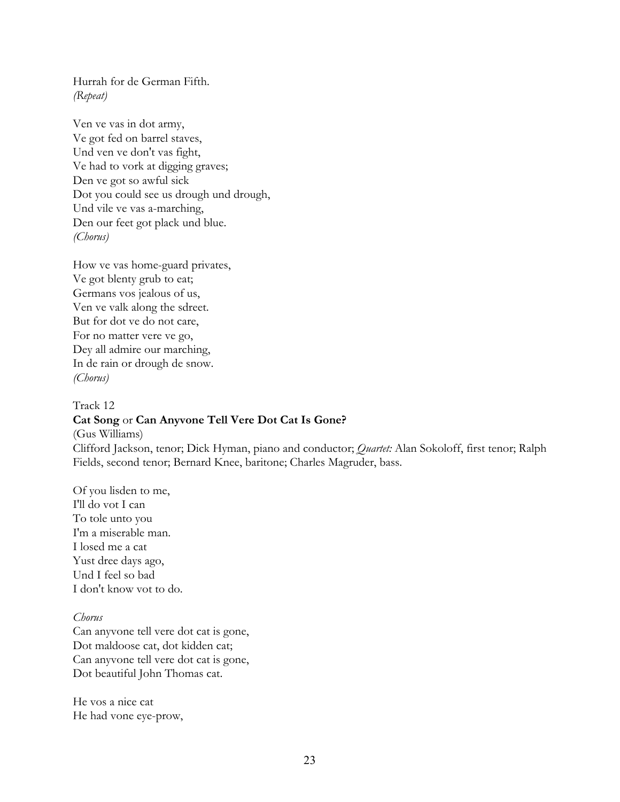Hurrah for de German Fifth. *(Repeat)*

Ven ve vas in dot army, Ve got fed on barrel staves, Und ven ve don't vas fight, Ve had to vork at digging graves; Den ve got so awful sick Dot you could see us drough und drough, Und vile ve vas a-marching, Den our feet got plack und blue. *(Chorus)*

How ve vas home-guard privates, Ve got blenty grub to eat; Germans vos jealous of us, Ven ve valk along the sdreet. But for dot ve do not care, For no matter vere ve go, Dey all admire our marching, In de rain or drough de snow. *(Chorus)*

# Track 12 **Cat Song** or **Can Anyvone Tell Vere Dot Cat Is Gone?** (Gus Williams) Clifford Jackson, tenor; Dick Hyman, piano and conductor; *Quartet:* Alan Sokoloff, first tenor; Ralph Fields, second tenor; Bernard Knee, baritone; Charles Magruder, bass.

Of you lisden to me, I'll do vot I can To tole unto you I'm a miserable man. I losed me a cat Yust dree days ago, Und I feel so bad I don't know vot to do.

#### *Chorus*

Can anyvone tell vere dot cat is gone, Dot maldoose cat, dot kidden cat; Can anyvone tell vere dot cat is gone, Dot beautiful John Thomas cat.

He vos a nice cat He had vone eye-prow,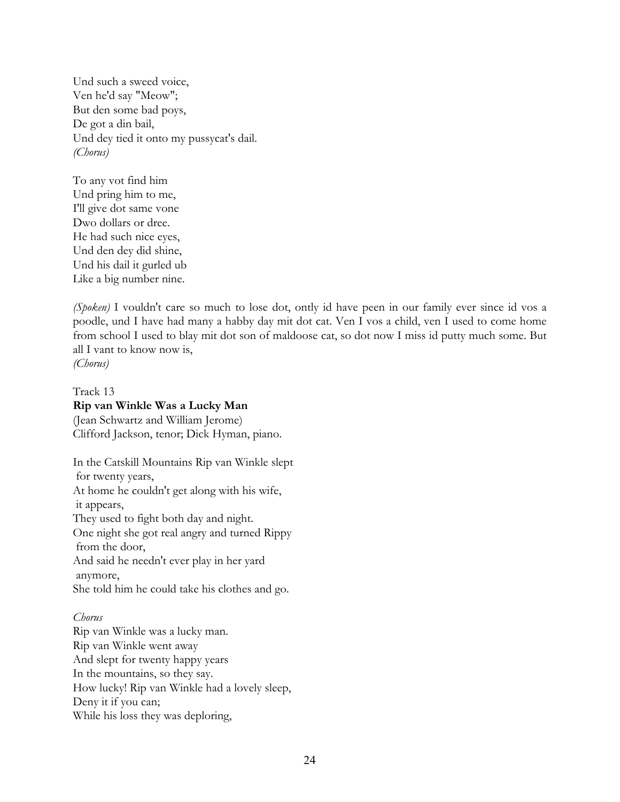Und such a sweed voice, Ven he'd say "Meow"; But den some bad poys, De got a din bail, Und dey tied it onto my pussycat's dail. *(Chorus)*

To any vot find him Und pring him to me, I'll give dot same vone Dwo dollars or dree. He had such nice eyes, Und den dey did shine, Und his dail it gurled ub Like a big number nine.

*(Spoken)* I vouldn't care so much to lose dot, ontly id have peen in our family ever since id vos a poodle, und I have had many a habby day mit dot cat. Ven I vos a child, ven I used to come home from school I used to blay mit dot son of maldoose cat, so dot now I miss id putty much some. But all I vant to know now is, *(Chorus)*

# Track 13 **Rip van Winkle Was a Lucky Man**

(Jean Schwartz and William Jerome) Clifford Jackson, tenor; Dick Hyman, piano.

In the Catskill Mountains Rip van Winkle slept for twenty years, At home he couldn't get along with his wife, it appears, They used to fight both day and night. One night she got real angry and turned Rippy from the door, And said he needn't ever play in her yard anymore, She told him he could take his clothes and go.

# *Chorus*

Rip van Winkle was a lucky man. Rip van Winkle went away And slept for twenty happy years In the mountains, so they say. How lucky! Rip van Winkle had a lovely sleep, Deny it if you can; While his loss they was deploring,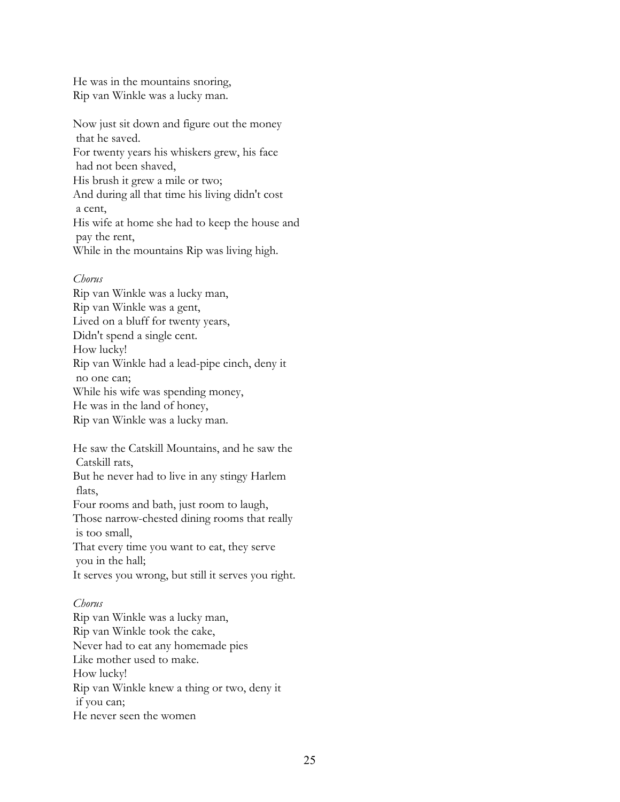He was in the mountains snoring, Rip van Winkle was a lucky man.

Now just sit down and figure out the money that he saved. For twenty years his whiskers grew, his face had not been shaved, His brush it grew a mile or two; And during all that time his living didn't cost a cent, His wife at home she had to keep the house and pay the rent, While in the mountains Rip was living high.

### *Chorus*

Rip van Winkle was a lucky man, Rip van Winkle was a gent, Lived on a bluff for twenty years, Didn't spend a single cent. How lucky! Rip van Winkle had a lead-pipe cinch, deny it no one can; While his wife was spending money, He was in the land of honey, Rip van Winkle was a lucky man.

He saw the Catskill Mountains, and he saw the Catskill rats, But he never had to live in any stingy Harlem flats, Four rooms and bath, just room to laugh, Those narrow-chested dining rooms that really is too small,

That every time you want to eat, they serve you in the hall;

It serves you wrong, but still it serves you right.

## *Chorus*

Rip van Winkle was a lucky man, Rip van Winkle took the cake, Never had to eat any homemade pies Like mother used to make. How lucky! Rip van Winkle knew a thing or two, deny it if you can; He never seen the women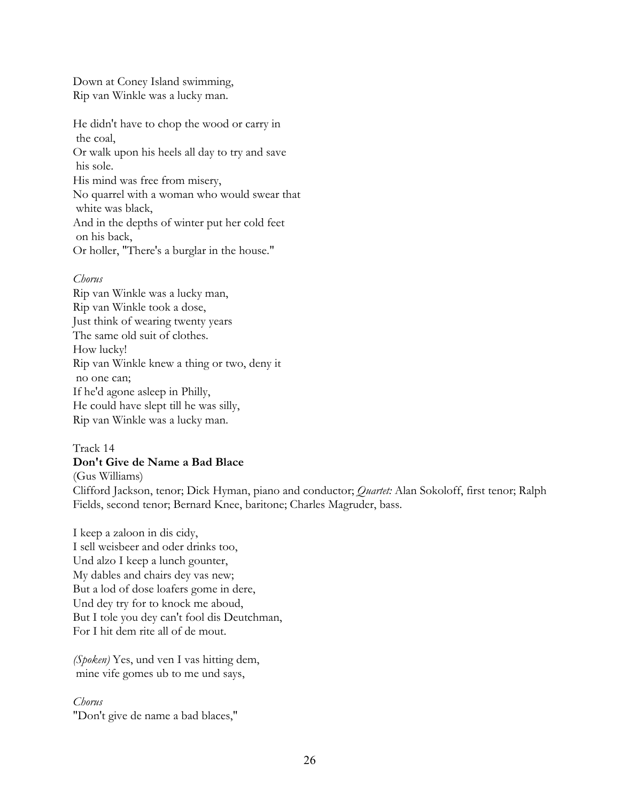Down at Coney Island swimming, Rip van Winkle was a lucky man.

He didn't have to chop the wood or carry in the coal, Or walk upon his heels all day to try and save his sole. His mind was free from misery, No quarrel with a woman who would swear that white was black, And in the depths of winter put her cold feet on his back, Or holler, "There's a burglar in the house."

## *Chorus*

Rip van Winkle was a lucky man, Rip van Winkle took a dose, Just think of wearing twenty years The same old suit of clothes. How lucky! Rip van Winkle knew a thing or two, deny it no one can; If he'd agone asleep in Philly, He could have slept till he was silly, Rip van Winkle was a lucky man.

# Track 14

## **Don't Give de Name a Bad Blace**

(Gus Williams)

Clifford Jackson, tenor; Dick Hyman, piano and conductor; *Quartet:* Alan Sokoloff, first tenor; Ralph Fields, second tenor; Bernard Knee, baritone; Charles Magruder, bass.

I keep a zaloon in dis cidy, I sell weisbeer and oder drinks too, Und alzo I keep a lunch gounter, My dables and chairs dey vas new; But a lod of dose loafers gome in dere, Und dey try for to knock me aboud, But I tole you dey can't fool dis Deutchman, For I hit dem rite all of de mout.

*(Spoken)* Yes, und ven I vas hitting dem, mine vife gomes ub to me und says,

### *Chorus*

"Don't give de name a bad blaces,"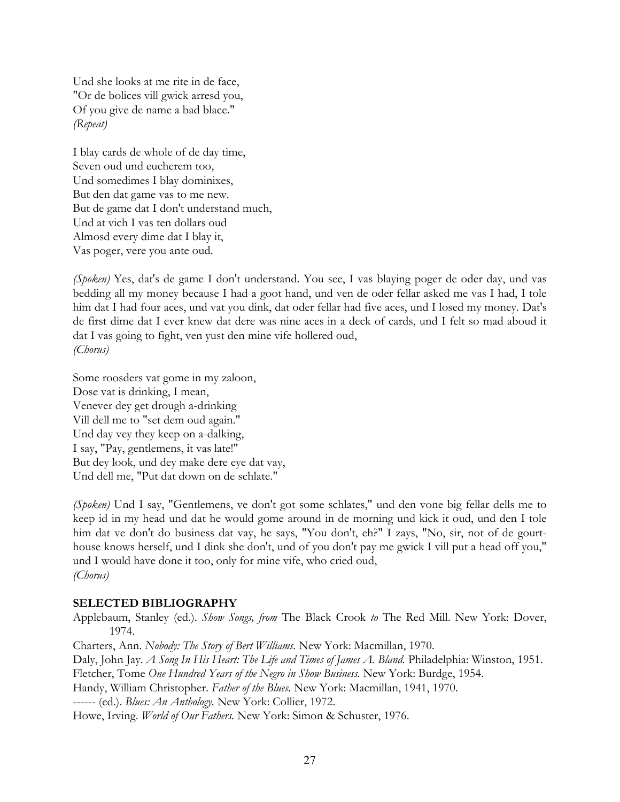Und she looks at me rite in de face, "Or de bolices vill gwick arresd you, Of you give de name a bad blace." *(Repeat)*

I blay cards de whole of de day time, Seven oud und eucherem too, Und somedimes I blay dominixes, But den dat game vas to me new. But de game dat I don't understand much, Und at vich I vas ten dollars oud Almosd every dime dat I blay it, Vas poger, vere you ante oud.

*(Spoken)* Yes, dat's de game I don't understand. You see, I vas blaying poger de oder day, und vas bedding all my money because I had a goot hand, und ven de oder fellar asked me vas I had, I tole him dat I had four aces, und vat you dink, dat oder fellar had five aces, und I losed my money. Dat's de first dime dat I ever knew dat dere was nine aces in a deck of cards, und I felt so mad aboud it dat I vas going to fight, ven yust den mine vife hollered oud, *(Chorus)*

Some roosders vat gome in my zaloon, Dose vat is drinking, I mean, Venever dey get drough a-drinking Vill dell me to "set dem oud again." Und day vey they keep on a-dalking, I say, "Pay, gentlemens, it vas late!" But dey look, und dey make dere eye dat vay, Und dell me, "Put dat down on de schlate."

*(Spoken)* Und I say, "Gentlemens, ve don't got some schlates," und den vone big fellar dells me to keep id in my head und dat he would gome around in de morning und kick it oud, und den I tole him dat ve don't do business dat vay, he says, "You don't, eh?" I zays, "No, sir, not of de gourthouse knows herself, und I dink she don't, und of you don't pay me gwick I vill put a head off you," und I would have done it too, only for mine vife, who cried oud, *(Chorus)*

### **SELECTED BIBLIOGRAPHY**

Applebaum, Stanley (ed.). *Show Songs, from* The Black Crook *to* The Red Mill. New York: Dover, 1974.

Charters, Ann. *Nobody: The Story of Bert Williams.* New York: Macmillan, 1970. Daly, John Jay. *A Song In His Heart: The Life and Times of James A. Bland.* Philadelphia: Winston, 1951. Fletcher, Tome *One Hundred Years of the Negro in Show Business.* New York: Burdge, 1954. Handy, William Christopher. *Father of the Blues.* New York: Macmillan, 1941, 1970. ------ (ed.). *Blues: An Anthology.* New York: Collier, 1972. Howe, Irving. *World of Our Fathers.* New York: Simon & Schuster, 1976.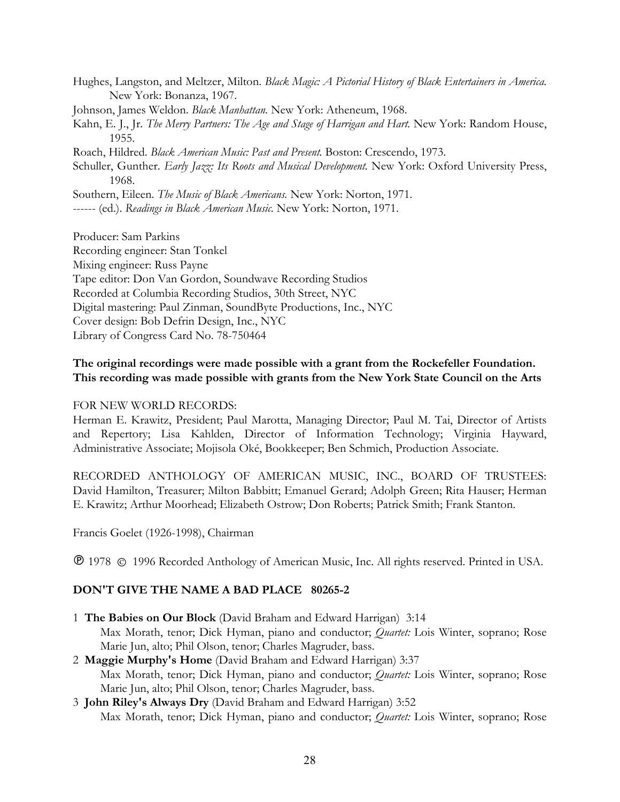Hughes, Langston, and Meltzer, Milton. *Black Magic: A Pictorial History of Black Entertainers in America.* New York: Bonanza, 1967.

Johnson, James Weldon. *Black Manhattan.* New York: Atheneum, 1968.

Kahn, E. J., Jr. *The Merry Partners: The Age and Stage of Harrigan and Hart.* New York: Random House, 1955.

Roach, Hildred. *Black American Music: Past and Present.* Boston: Crescendo, 1973.

Schuller, Gunther. *Early Jazz: Its Roots and Musical Development.* New York: Oxford University Press, 1968.

Southern, Eileen. *The Music of Black Americans.* New York: Norton, 1971.

------ (ed.). *Readings in Black American Music.* New York: Norton, 1971.

Producer: Sam Parkins

Recording engineer: Stan Tonkel

Mixing engineer: Russ Payne

Tape editor: Don Van Gordon, Soundwave Recording Studios

Recorded at Columbia Recording Studios, 30th Street, NYC

Digital mastering: Paul Zinman, SoundByte Productions, Inc., NYC

Cover design: Bob Defrin Design, Inc., NYC

Library of Congress Card No. 78-750464

## **The original recordings were made possible with a grant from the Rockefeller Foundation. This recording was made possible with grants from the New York State Council on the Arts**

## FOR NEW WORLD RECORDS:

Herman E. Krawitz, President; Paul Marotta, Managing Director; Paul M. Tai, Director of Artists and Repertory; Lisa Kahlden, Director of Information Technology; Virginia Hayward, Administrative Associate; Mojisola Oké, Bookkeeper; Ben Schmich, Production Associate.

RECORDED ANTHOLOGY OF AMERICAN MUSIC, INC., BOARD OF TRUSTEES: David Hamilton, Treasurer; Milton Babbitt; Emanuel Gerard; Adolph Green; Rita Hauser; Herman E. Krawitz; Arthur Moorhead; Elizabeth Ostrow; Don Roberts; Patrick Smith; Frank Stanton.

Francis Goelet (1926-1998), Chairman

1978 1996 Recorded Anthology of American Music, Inc. All rights reserved. Printed in USA.

## **DON'T GIVE THE NAME A BAD PLACE 80265-2**

- 1 **The Babies on Our Block** (David Braham and Edward Harrigan) 3:14 Max Morath, tenor; Dick Hyman, piano and conductor; *Quartet:* Lois Winter, soprano; Rose Marie Jun, alto; Phil Olson, tenor; Charles Magruder, bass.
- 2 **Maggie Murphy's Home** (David Braham and Edward Harrigan) 3:37 Max Morath, tenor; Dick Hyman, piano and conductor; *Quartet:* Lois Winter, soprano; Rose Marie Jun, alto; Phil Olson, tenor; Charles Magruder, bass.
- 3 **John Riley's Always Dry** (David Braham and Edward Harrigan) 3:52 Max Morath, tenor; Dick Hyman, piano and conductor; *Quartet:* Lois Winter, soprano; Rose